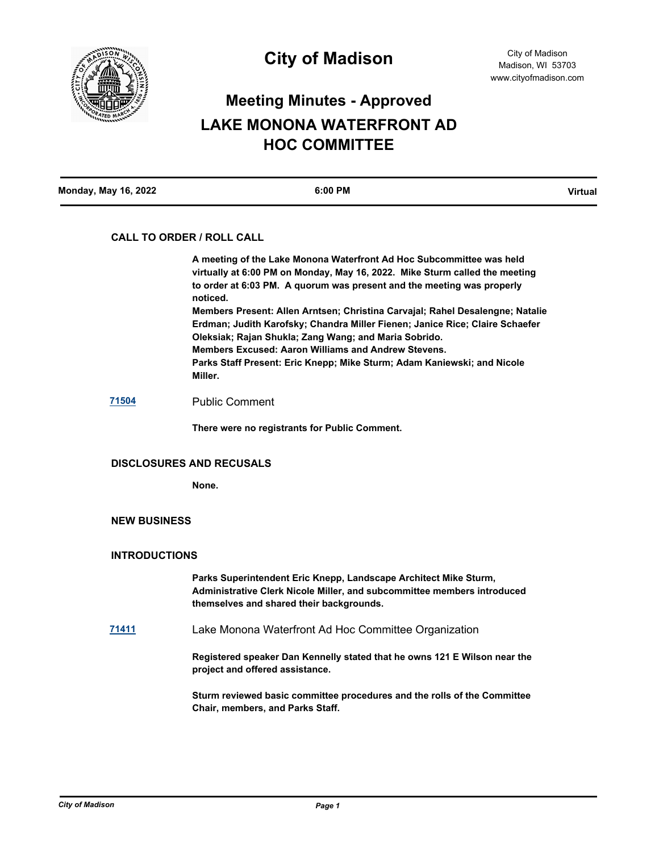

# **Meeting Minutes - Approved LAKE MONONA WATERFRONT AD HOC COMMITTEE**

## **CALL TO ORDER / ROLL CALL**

**A meeting of the Lake Monona Waterfront Ad Hoc Subcommittee was held virtually at 6:00 PM on Monday, May 16, 2022. Mike Sturm called the meeting to order at 6:03 PM. A quorum was present and the meeting was properly noticed. Members Present: Allen Arntsen; Christina Carvajal; Rahel Desalengne; Natalie Erdman; Judith Karofsky; Chandra Miller Fienen; Janice Rice; Claire Schaefer Oleksiak; Rajan Shukla; Zang Wang; and Maria Sobrido. Members Excused: Aaron Williams and Andrew Stevens. Parks Staff Present: Eric Knepp; Mike Sturm; Adam Kaniewski; and Nicole Miller.**

# **[71504](http://madison.legistar.com/gateway.aspx?m=l&id=/matter.aspx?key=83394)** Public Comment

**There were no registrants for Public Comment.**

### **DISCLOSURES AND RECUSALS**

**None.**

# **NEW BUSINESS**

### **INTRODUCTIONS**

**Parks Superintendent Eric Knepp, Landscape Architect Mike Sturm, Administrative Clerk Nicole Miller, and subcommittee members introduced themselves and shared their backgrounds.**

**[71411](http://madison.legistar.com/gateway.aspx?m=l&id=/matter.aspx?key=83340)** Lake Monona Waterfront Ad Hoc Committee Organization

**Registered speaker Dan Kennelly stated that he owns 121 E Wilson near the project and offered assistance.**

**Sturm reviewed basic committee procedures and the rolls of the Committee Chair, members, and Parks Staff.**